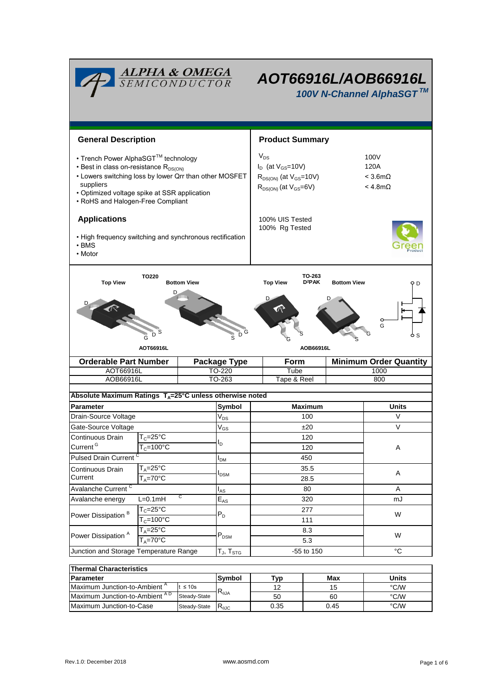| <b>ALPHA &amp; OMEGA</b><br>SEMICONDUCTOR<br>AOT66916L/AOB66916L<br>100V N-Channel AlphaSGT™                                                                                                                                                         |                                             |                                                                                                           |                            |                        |                                                        |                               |              |  |  |  |  |
|------------------------------------------------------------------------------------------------------------------------------------------------------------------------------------------------------------------------------------------------------|---------------------------------------------|-----------------------------------------------------------------------------------------------------------|----------------------------|------------------------|--------------------------------------------------------|-------------------------------|--------------|--|--|--|--|
| <b>General Description</b>                                                                                                                                                                                                                           |                                             |                                                                                                           |                            | <b>Product Summary</b> |                                                        |                               |              |  |  |  |  |
| • Trench Power AlphaSGT™ technology<br>• Best in class on-resistance R <sub>DS(ON)</sub><br>• Lowers switching loss by lower Qrr than other MOSFET<br>suppliers<br>• Optimized voltage spike at SSR application<br>• RoHS and Halogen-Free Compliant |                                             | $V_{DS}$<br>$I_D$ (at $V_{GS}$ =10V)<br>$R_{DS(ON)}$ (at $V_{GS}$ =10V)<br>$R_{DS(ON)}$ (at $V_{GS}=6V$ ) |                            |                        | 100V<br>120A<br>$<$ 3.6m $\Omega$<br>$<$ 4.8m $\Omega$ |                               |              |  |  |  |  |
| <b>Applications</b>                                                                                                                                                                                                                                  |                                             | 100% UIS Tested                                                                                           |                            |                        |                                                        |                               |              |  |  |  |  |
| • High frequency switching and synchronous rectification<br>$\cdot$ BMS<br>• Motor                                                                                                                                                                   |                                             |                                                                                                           |                            | 100% Rg Tested         |                                                        |                               |              |  |  |  |  |
| TO-263<br>TO220<br>D <sup>2</sup> PAK<br><b>Top View</b><br><b>Bottom View</b><br><b>Top View</b><br><b>Bottom View</b><br>9 D<br>D<br>G<br>Ď<br>D<br>Ġ<br>o s                                                                                       |                                             |                                                                                                           |                            |                        |                                                        |                               |              |  |  |  |  |
| AOT66916L                                                                                                                                                                                                                                            |                                             |                                                                                                           |                            |                        | AOB66916L                                              |                               |              |  |  |  |  |
|                                                                                                                                                                                                                                                      | <b>Orderable Part Number</b>                |                                                                                                           | Package Type               | <b>Form</b>            |                                                        | <b>Minimum Order Quantity</b> |              |  |  |  |  |
| AOT66916L                                                                                                                                                                                                                                            |                                             | TO-220                                                                                                    |                            |                        | Tube                                                   |                               | 1000         |  |  |  |  |
| AOB66916L                                                                                                                                                                                                                                            |                                             |                                                                                                           | TO-263                     | Tape & Reel            |                                                        |                               | 800          |  |  |  |  |
| Absolute Maximum Ratings T <sub>A</sub> =25°C unless otherwise noted                                                                                                                                                                                 |                                             |                                                                                                           |                            |                        |                                                        |                               |              |  |  |  |  |
| Parameter                                                                                                                                                                                                                                            |                                             |                                                                                                           | Symbol                     | <b>Maximum</b>         |                                                        |                               | <b>Units</b> |  |  |  |  |
| Drain-Source Voltage                                                                                                                                                                                                                                 |                                             |                                                                                                           | $\rm V_{DS}$               |                        | 100                                                    |                               | V            |  |  |  |  |
| Gate-Source Voltage                                                                                                                                                                                                                                  |                                             |                                                                                                           | $\rm V_{GS}$               | ±20                    |                                                        |                               | $\vee$       |  |  |  |  |
| Continuous Drain                                                                                                                                                                                                                                     | $T_c = 25$ °C                               |                                                                                                           |                            | 120                    |                                                        |                               |              |  |  |  |  |
| Current <sup>G</sup>                                                                                                                                                                                                                                 | $T_c = 100^{\circ}C$                        |                                                                                                           | I <sub>D</sub>             | 120                    |                                                        |                               | Α            |  |  |  |  |
| <b>Pulsed Drain Current</b>                                                                                                                                                                                                                          |                                             | I <sub>DM</sub>                                                                                           |                            | 450                    |                                                        |                               |              |  |  |  |  |
| $T_A = 25$ °C<br>Continuous Drain                                                                                                                                                                                                                    |                                             |                                                                                                           |                            | 35.5                   |                                                        |                               |              |  |  |  |  |
| Current                                                                                                                                                                                                                                              | $T_A = 70$ °C                               |                                                                                                           | $I_{DSM}$                  | 28.5                   |                                                        |                               | A            |  |  |  |  |
| Avalanche Current <sup>C</sup>                                                                                                                                                                                                                       |                                             |                                                                                                           | $I_{AS}$                   | 80                     |                                                        |                               | Α            |  |  |  |  |
| С<br>Avalanche energy<br>$L=0.1mH$                                                                                                                                                                                                                   |                                             |                                                                                                           | $\mathsf{E}_{\mathsf{AS}}$ | 320                    |                                                        |                               | mJ           |  |  |  |  |
| Power Dissipation <sup>B</sup>                                                                                                                                                                                                                       | $T_c = 25$ °C<br>$T_c = 100^{\circ}$ C      |                                                                                                           | $P_D$                      | 277                    |                                                        |                               |              |  |  |  |  |
|                                                                                                                                                                                                                                                      |                                             |                                                                                                           |                            | 111                    |                                                        |                               | W            |  |  |  |  |
| Power Dissipation <sup>A</sup>                                                                                                                                                                                                                       | $T_A = 25^{\circ}C$<br>$T_A = 70^{\circ}$ C |                                                                                                           | $P_{DSM}$                  | 8.3                    |                                                        | W                             |              |  |  |  |  |
|                                                                                                                                                                                                                                                      |                                             |                                                                                                           |                            | 5.3                    |                                                        |                               |              |  |  |  |  |
| Junction and Storage Temperature Range                                                                                                                                                                                                               |                                             |                                                                                                           | $T_{J}$ , $T_{STG}$        | -55 to 150             |                                                        |                               | $^{\circ}C$  |  |  |  |  |
| <b>Thermal Characteristics</b>                                                                                                                                                                                                                       |                                             |                                                                                                           |                            |                        |                                                        |                               |              |  |  |  |  |
|                                                                                                                                                                                                                                                      | Parameter                                   |                                                                                                           |                            | Typ                    |                                                        | Max                           | <b>Units</b> |  |  |  |  |
| Maximum Junction-to-Ambient <sup>A</sup><br>$t \leq 10s$                                                                                                                                                                                             |                                             |                                                                                                           | Symbol                     | 12                     |                                                        | 15                            | °C/W         |  |  |  |  |
| Maximum Junction-to-Ambient AD<br>Steady-State                                                                                                                                                                                                       |                                             | $\mathsf{R}_{\theta\mathsf{JA}}$                                                                          | 50                         |                        | 60                                                     | °C/W                          |              |  |  |  |  |

Maximum Junction-to-Case Steady-State R<sub>6JC</sub> 0.35 0.45 °C/W

0.35

0.45

Steady-State  $R_{\theta\text{JC}}$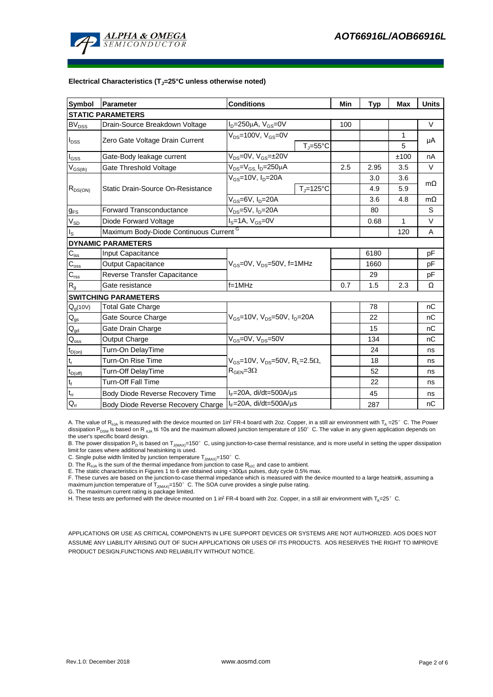

#### **Electrical Characteristics (TJ=25°C unless otherwise noted)**

| <b>Symbol</b>               | <b>Parameter</b>                                                        | <b>Conditions</b>                                                            |                            | Min  | <b>Typ</b> | <b>Max</b> | <b>Units</b> |  |  |  |  |  |
|-----------------------------|-------------------------------------------------------------------------|------------------------------------------------------------------------------|----------------------------|------|------------|------------|--------------|--|--|--|--|--|
| <b>STATIC PARAMETERS</b>    |                                                                         |                                                                              |                            |      |            |            |              |  |  |  |  |  |
| $\mathsf{BV}_\mathsf{DSS}$  | Drain-Source Breakdown Voltage                                          | $I_D = 250 \mu A$ , $V_{GS} = 0V$                                            |                            | 100  |            |            | V            |  |  |  |  |  |
| $I_{DSS}$                   |                                                                         | $V_{DS}$ =100V, $V_{GS}$ =0V                                                 |                            |      |            | 1          | μA           |  |  |  |  |  |
|                             | Zero Gate Voltage Drain Current                                         |                                                                              | $T_{\rm J} = 55^{\circ}$ C |      |            | 5          |              |  |  |  |  |  |
| I <sub>GSS</sub>            | Gate-Body leakage current                                               | $V_{DS} = 0V$ , $V_{GS} = \pm 20V$                                           |                            |      |            | ±100       | nA           |  |  |  |  |  |
| $V_{GS(th)}$                | Gate Threshold Voltage                                                  | $V_{DS} = V_{GS}$ , $I_D = 250 \mu A$                                        | 2.5                        | 2.95 | 3.5        | V          |              |  |  |  |  |  |
| $R_{DS(ON)}$                |                                                                         | $V_{GS}$ =10V, $I_D$ =20A                                                    |                            |      | 3.0        | 3.6        | $m\Omega$    |  |  |  |  |  |
|                             | Static Drain-Source On-Resistance                                       |                                                                              | $T_J = 125$ °C             |      | 4.9        | 5.9        |              |  |  |  |  |  |
|                             |                                                                         | $V_{GS}$ =6V, $I_{D}$ =20A                                                   |                            |      | 3.6        | 4.8        | $m\Omega$    |  |  |  |  |  |
| $g_{FS}$                    | <b>Forward Transconductance</b>                                         | $V_{DS} = 5V$ , $I_D = 20A$                                                  |                            | 80   |            | S          |              |  |  |  |  |  |
| $V_{SD}$                    | Diode Forward Voltage                                                   | $IS=1A, VGS=0V$                                                              |                            | 0.68 | 1          | V          |              |  |  |  |  |  |
| Is                          | Maximum Body-Diode Continuous Current <sup>G</sup>                      |                                                                              |                            |      | 120        | A          |              |  |  |  |  |  |
|                             | <b>DYNAMIC PARAMETERS</b>                                               |                                                                              |                            |      |            |            |              |  |  |  |  |  |
| $C_{\text{iss}}$            | <b>Input Capacitance</b>                                                |                                                                              |                            |      | 6180       |            | pF           |  |  |  |  |  |
| $\mathsf{C}_{\mathrm{oss}}$ | <b>Output Capacitance</b>                                               | $V_{GS}$ =0V, $V_{DS}$ =50V, f=1MHz                                          |                            | 1660 |            | рF         |              |  |  |  |  |  |
| $C_{rss}$                   | Reverse Transfer Capacitance                                            |                                                                              |                            | 29   |            | pF         |              |  |  |  |  |  |
| $\mathsf{R}_{\mathsf{g}}$   | Gate resistance                                                         | $f = 1$ MHz                                                                  |                            | 0.7  | 1.5        | 2.3        | Ω            |  |  |  |  |  |
|                             | <b>SWITCHING PARAMETERS</b>                                             |                                                                              |                            |      |            |            |              |  |  |  |  |  |
| $Q_q(10V)$                  | <b>Total Gate Charge</b>                                                | $V_{GS}$ =10V, $V_{DS}$ =50V, $I_{D}$ =20A                                   |                            |      | 78         |            | nC           |  |  |  |  |  |
| $\mathsf{Q}_{\text{gs}}$    | Gate Source Charge                                                      |                                                                              |                            |      | 22         |            | nC           |  |  |  |  |  |
| $\mathsf{Q}_{\mathsf{gd}}$  | Gate Drain Charge                                                       |                                                                              |                            |      | 15         |            | nC           |  |  |  |  |  |
| $\mathsf{Q}_{\mathsf{oss}}$ | Output Charge                                                           | $V_{GS}$ =0V, $V_{DS}$ =50V                                                  |                            |      | 134        |            | nC           |  |  |  |  |  |
| $t_{D(on)}$                 | Turn-On DelayTime                                                       |                                                                              |                            |      | 24         |            | ns           |  |  |  |  |  |
| $t_r$                       | Turn-On Rise Time                                                       | $V_{\text{GS}} = 10V$ , $V_{\text{DS}} = 50V$ , $R_{\text{I}} = 2.5\Omega$ , |                            |      | 18         |            | ns           |  |  |  |  |  |
| $t_{D(off)}$                | Turn-Off DelayTime                                                      | $\mathsf{R}_{\mathsf{GEN}}$ =3 $\Omega$                                      |                            | 52   |            | ns         |              |  |  |  |  |  |
| $t_f$                       | <b>Turn-Off Fall Time</b>                                               |                                                                              |                            |      | 22         |            | ns           |  |  |  |  |  |
| $t_{rr}$                    | Body Diode Reverse Recovery Time                                        | l <sub>F</sub> =20A, di/dt=500A/μs                                           |                            |      | 45         |            | ns           |  |  |  |  |  |
| $Q_{rr}$                    | $I_F = 20A$ , di/dt=500A/ $\mu$ s<br>Body Diode Reverse Recovery Charge |                                                                              |                            | 287  |            | nC         |              |  |  |  |  |  |

A. The value of R<sub>hJA</sub> is measured with the device mounted on 1in<sup>2</sup> FR-4 board with 2oz. Copper, in a still air environment with T<sub>A</sub> =25°C. The Power dissipation P<sub>DSM</sub> is based on R  $_{0.1A}$  t≤ 10s and the maximum allowed junction temperature of 150°C. The value in any given application depends on the user's specific board design.

B. The power dissipation P<sub>D</sub> is based on T<sub>J(MAX)</sub>=150°C, using junction-to-case thermal resistance, and is more useful in setting the upper dissipation limit for cases where additional heatsinking is used.

C. Single pulse width limited by junction temperature  $T_{J(MAX)}=150^{\circ}$  C.

D. The  $R_{p,q}$  is the sum of the thermal impedance from junction to case  $R_{p,q}$  and case to ambient.

E. The static characteristics in Figures 1 to 6 are obtained using <300μs pulses, duty cycle 0.5% max.<br>F. These curves are based on the junction-to-case thermal impedance which is measured with the device mounted to a lar maximum junction temperature of  $T_{J(MAX)}$ =150°C. The SOA curve provides a single pulse rating.

G. The maximum current rating is package limited.

H. These tests are performed with the device mounted on 1 in<sup>2</sup> FR-4 board with 2oz. Copper, in a still air environment with T<sub>A</sub>=25°C.

APPLICATIONS OR USE AS CRITICAL COMPONENTS IN LIFE SUPPORT DEVICES OR SYSTEMS ARE NOT AUTHORIZED. AOS DOES NOT ASSUME ANY LIABILITY ARISING OUT OF SUCH APPLICATIONS OR USES OF ITS PRODUCTS. AOS RESERVES THE RIGHT TO IMPROVE PRODUCT DESIGN,FUNCTIONS AND RELIABILITY WITHOUT NOTICE.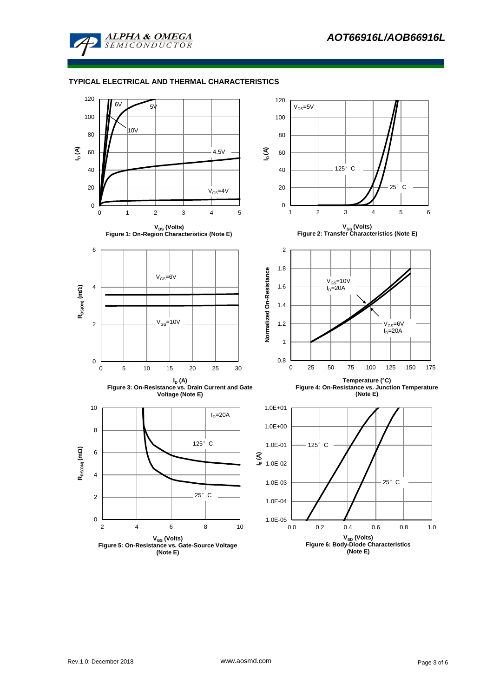

#### **TYPICAL ELECTRICAL AND THERMAL CHARACTERISTICS**

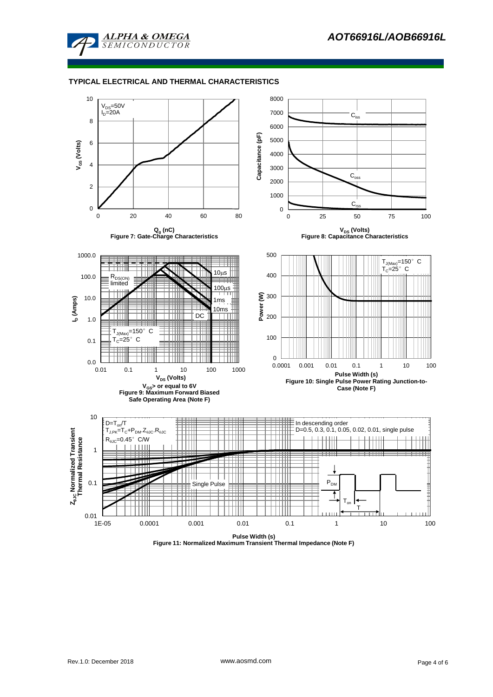

#### **TYPICAL ELECTRICAL AND THERMAL CHARACTERISTICS**

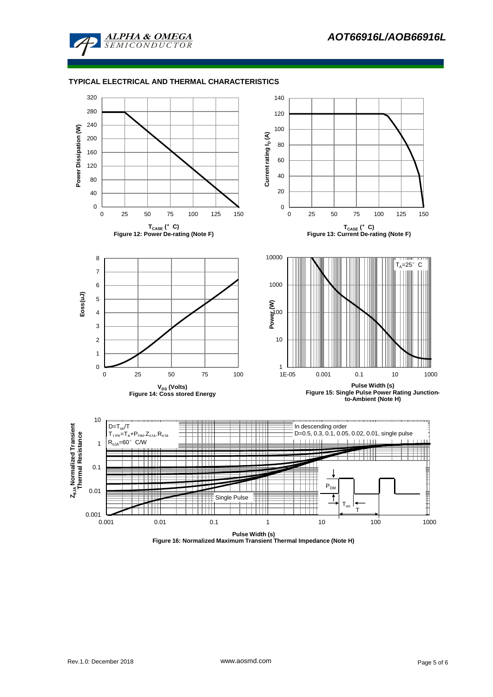

#### **TYPICAL ELECTRICAL AND THERMAL CHARACTERISTICS**



**Figure 16: Normalized Maximum Transient Thermal Impedance (Note H)**